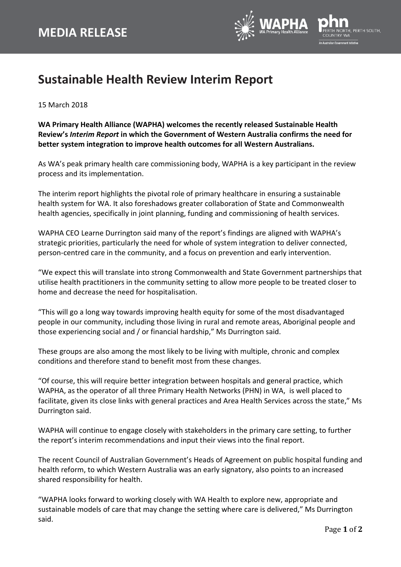

## **Sustainable Health Review Interim Report**

15 March 2018

**WA Primary Health Alliance (WAPHA) welcomes the recently released Sustainable Health Review's** *Interim Report* **in which the Government of Western Australia confirms the need for better system integration to improve health outcomes for all Western Australians.**

As WA's peak primary health care commissioning body, WAPHA is a key participant in the review process and its implementation.

The interim report highlights the pivotal role of primary healthcare in ensuring a sustainable health system for WA. It also foreshadows greater collaboration of State and Commonwealth health agencies, specifically in joint planning, funding and commissioning of health services.

WAPHA CEO Learne Durrington said many of the report's findings are aligned with WAPHA's strategic priorities, particularly the need for whole of system integration to deliver connected, person-centred care in the community, and a focus on prevention and early intervention.

"We expect this will translate into strong Commonwealth and State Government partnerships that utilise health practitioners in the community setting to allow more people to be treated closer to home and decrease the need for hospitalisation.

"This will go a long way towards improving health equity for some of the most disadvantaged people in our community, including those living in rural and remote areas, Aboriginal people and those experiencing social and / or financial hardship," Ms Durrington said.

These groups are also among the most likely to be living with multiple, chronic and complex conditions and therefore stand to benefit most from these changes.

"Of course, this will require better integration between hospitals and general practice, which WAPHA, as the operator of all three Primary Health Networks (PHN) in WA, is well placed to facilitate, given its close links with general practices and Area Health Services across the state," Ms Durrington said.

WAPHA will continue to engage closely with stakeholders in the primary care setting, to further the report's interim recommendations and input their views into the final report.

The recent Council of Australian Government's Heads of Agreement on public hospital funding and health reform, to which Western Australia was an early signatory, also points to an increased shared responsibility for health.

"WAPHA looks forward to working closely with WA Health to explore new, appropriate and sustainable models of care that may change the setting where care is delivered," Ms Durrington said.